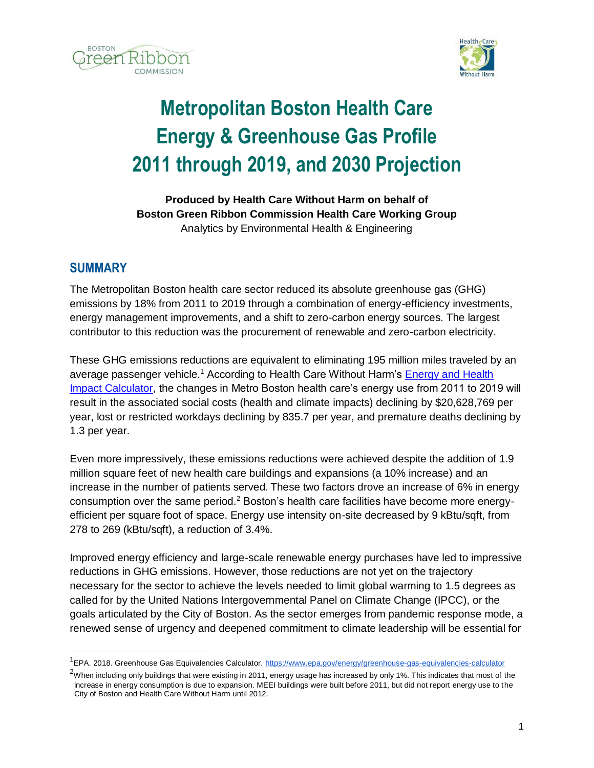



# **Metropolitan Boston Health Care Energy & Greenhouse Gas Profile 2011 through 2019, and 2030 Projection**

**Produced by Health Care Without Harm on behalf of Boston Green Ribbon Commission Health Care Working Group** Analytics by Environmental Health & Engineering

## **SUMMARY**

The Metropolitan Boston health care sector reduced its absolute greenhouse gas (GHG) emissions by 18% from 2011 to 2019 through a combination of energy-efficiency investments, energy management improvements, and a shift to zero-carbon energy sources. The largest contributor to this reduction was the procurement of renewable and zero-carbon electricity.

These GHG emissions reductions are equivalent to eliminating 195 million miles traveled by an average passenger vehicle.<sup>1</sup> According to Health Care Without Harm's Energy and Health [Impact Calculator,](https://practicegreenhealth.org/tools-and-resources/energy-and-health-impact-calculator) the changes in Metro Boston health care's energy use from 2011 to 2019 will result in the associated social costs (health and climate impacts) declining by \$20,628,769 per year, lost or restricted workdays declining by 835.7 per year, and premature deaths declining by 1.3 per year.

Even more impressively, these emissions reductions were achieved despite the addition of 1.9 million square feet of new health care buildings and expansions (a 10% increase) and an increase in the number of patients served. These two factors drove an increase of 6% in energy consumption over the same period.<sup>2</sup> Boston's health care facilities have become more energyefficient per square foot of space. Energy use intensity on-site decreased by 9 kBtu/sqft, from 278 to 269 (kBtu/sqft), a reduction of 3.4%.

Improved energy efficiency and large-scale renewable energy purchases have led to impressive reductions in GHG emissions. However, those reductions are not yet on the trajectory necessary for the sector to achieve the levels needed to limit global warming to 1.5 degrees as called for by the United Nations Intergovernmental Panel on Climate Change (IPCC), or the goals articulated by the City of Boston. As the sector emerges from pandemic response mode, a renewed sense of urgency and deepened commitment to climate leadership will be essential for

<sup>&</sup>lt;sup>1</sup>EPA. 2018. Greenhouse Gas Equivalencies Calculator.<https://www.epa.gov/energy/greenhouse-gas-equivalencies-calculator>

<sup>&</sup>lt;sup>2</sup>When including only buildings that were existing in 2011, energy usage has increased by only 1%. This indicates that most of the increase in energy consumption is due to expansion. MEEI buildings were built before 2011, but did not report energy use to the City of Boston and Health Care Without Harm until 2012.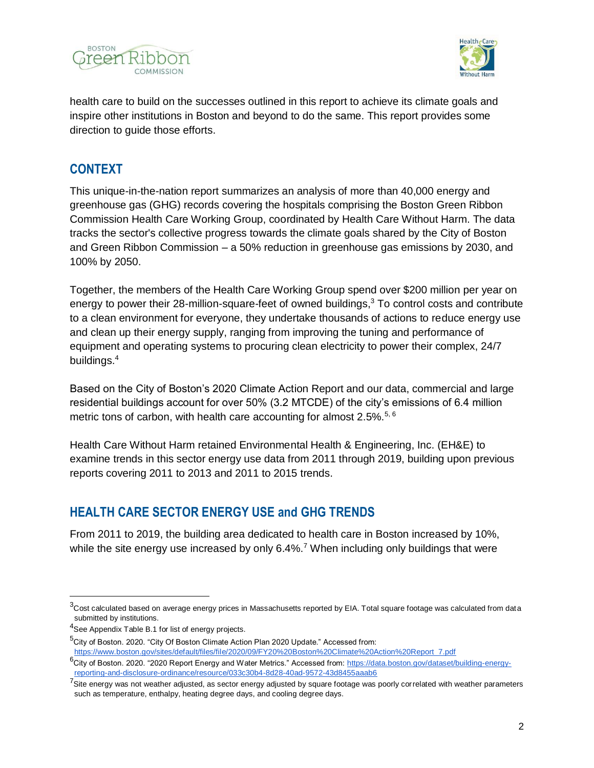



health care to build on the successes outlined in this report to achieve its climate goals and inspire other institutions in Boston and beyond to do the same. This report provides some direction to guide those efforts.

## **CONTEXT**

This unique-in-the-nation report summarizes an analysis of more than 40,000 energy and greenhouse gas (GHG) records covering the hospitals comprising the Boston Green Ribbon Commission Health Care Working Group, coordinated by Health Care Without Harm. The data tracks the sector's collective progress towards the climate goals shared by the City of Boston and Green Ribbon Commission – a 50% reduction in greenhouse gas emissions by 2030, and 100% by 2050.

Together, the members of the Health Care Working Group spend over \$200 million per year on energy to power their 28-million-square-feet of owned buildings,<sup>3</sup> To control costs and contribute to a clean environment for everyone, they undertake thousands of actions to reduce energy use and clean up their energy supply, ranging from improving the tuning and performance of equipment and operating systems to procuring clean electricity to power their complex, 24/7 buildings.<sup>4</sup>

Based on the City of Boston's 2020 Climate Action Report and our data, commercial and large residential buildings account for over 50% (3.2 MTCDE) of the city's emissions of 6.4 million metric tons of carbon, with health care accounting for almost 2.5%.<sup>5, 6</sup>

Health Care Without Harm retained Environmental Health & Engineering, Inc. (EH&E) to examine trends in this sector energy use data from 2011 through 2019, building upon previous reports covering 2011 to 2013 and 2011 to 2015 trends.

## **HEALTH CARE SECTOR ENERGY USE and GHG TRENDS**

From 2011 to 2019, the building area dedicated to health care in Boston increased by 10%, while the site energy use increased by only  $6.4\%$ .<sup>7</sup> When including only buildings that were

 $\overline{a}$ 

 $3$ Cost calculated based on average energy prices in Massachusetts reported by EIA. Total square footage was calculated from data submitted by institutions.

<sup>&</sup>lt;sup>4</sup>See Appendix Table B.1 for list of energy projects.

<sup>&</sup>lt;sup>5</sup>City of Boston. 2020. "City Of Boston Climate Action Plan 2020 Update." Accessed from: [https://www.boston.gov/sites/default/files/file/2020/09/FY20%20Boston%20Climate%20Action%20Report\\_7.pdf](https://www.boston.gov/sites/default/files/file/2020/09/FY20%20Boston%20Climate%20Action%20Report_7.pdf)

<sup>6</sup>City of Boston. 2020. "2020 Report Energy and Water Metrics." Accessed from: [https://data.boston.gov/dataset/building-energy](https://data.boston.gov/dataset/building-energy-reporting-and-disclosure-ordinance/resource/033c30b4-8d28-40ad-9572-43d8455aaab6)[reporting-and-disclosure-ordinance/resource/033c30b4-8d28-40ad-9572-43d8455aaab6](https://data.boston.gov/dataset/building-energy-reporting-and-disclosure-ordinance/resource/033c30b4-8d28-40ad-9572-43d8455aaab6)

 $^7$ Site energy was not weather adjusted, as sector energy adjusted by square footage was poorly correlated with weather parameters such as temperature, enthalpy, heating degree days, and cooling degree days.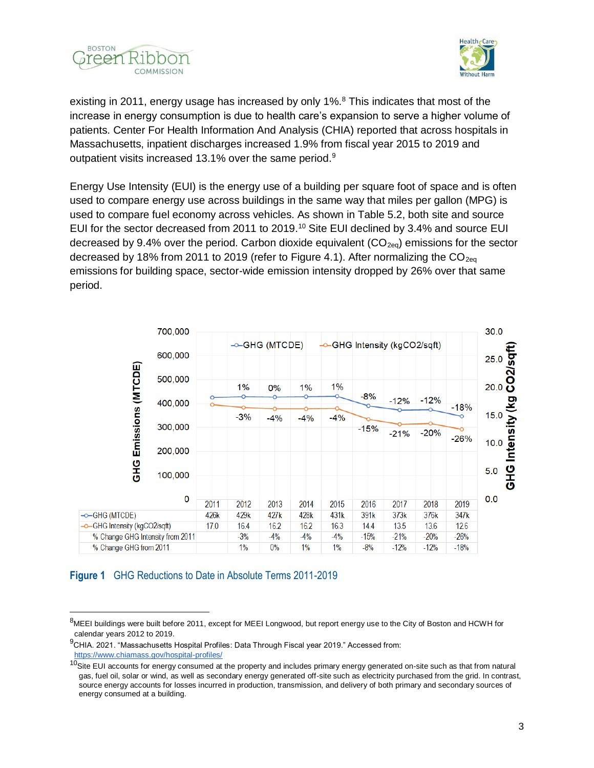



existing in 2011, energy usage has increased by only 1%.<sup>8</sup> This indicates that most of the increase in energy consumption is due to health care's expansion to serve a higher volume of patients. Center For Health Information And Analysis (CHIA) reported that across hospitals in Massachusetts, inpatient discharges increased 1.9% from fiscal year 2015 to 2019 and outpatient visits increased 13.1% over the same period.<sup>9</sup>

Energy Use Intensity (EUI) is the energy use of a building per square foot of space and is often used to compare energy use across buildings in the same way that miles per gallon (MPG) is used to compare fuel economy across vehicles. As shown in Table 5.2, both site and source EUI for the sector decreased from 2011 to 2019.<sup>10</sup> Site EUI declined by 3.4% and source EUI decreased by 9.4% over the period. Carbon dioxide equivalent  $(CO_{2e0})$  emissions for the sector decreased by 18% from 2011 to 2019 (refer to Figure 4.1). After normalizing the  $CO<sub>200</sub>$ emissions for building space, sector-wide emission intensity dropped by 26% over that same period.



### **Figure 1** GHG Reductions to Date in Absolute Terms 2011-2019

<sup>&</sup>lt;sup>8</sup>MEEI buildings were built before 2011, except for MEEI Longwood, but report energy use to the City of Boston and HCWH for calendar years 2012 to 2019.

 $^{9}$ CHIA. 2021. "Massachusetts Hospital Profiles: Data Through Fiscal year 2019." Accessed from: <https://www.chiamass.gov/hospital-profiles/>

<sup>&</sup>lt;sup>10</sup>Site EUI accounts for energy consumed at the property and includes primary energy generated on-site such as that from natural gas, fuel oil, solar or wind, as well as secondary energy generated off-site such as electricity purchased from the grid. In contrast, source energy accounts for losses incurred in production, transmission, and delivery of both primary and secondary sources of energy consumed at a building.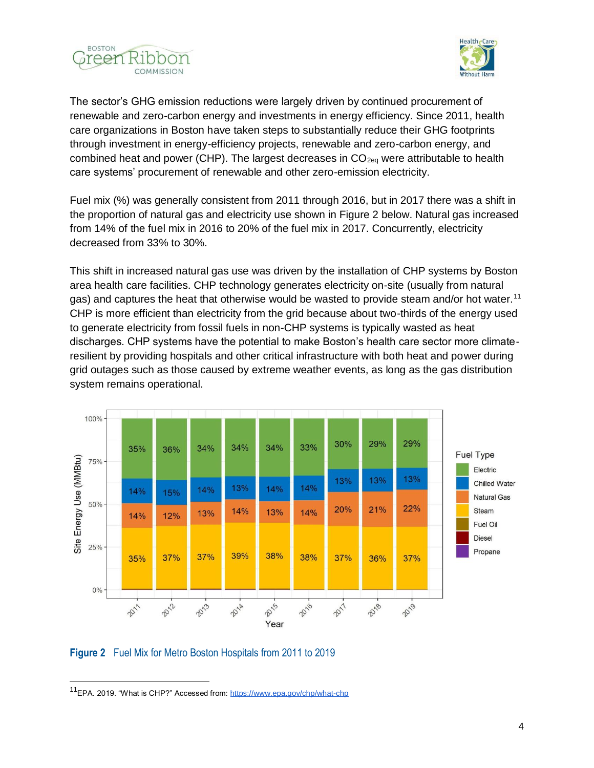



The sector's GHG emission reductions were largely driven by continued procurement of renewable and zero-carbon energy and investments in energy efficiency. Since 2011, health care organizations in Boston have taken steps to substantially reduce their GHG footprints through investment in energy-efficiency projects, renewable and zero-carbon energy, and combined heat and power (CHP). The largest decreases in  $CO<sub>2eq</sub>$  were attributable to health care systems' procurement of renewable and other zero-emission electricity.

Fuel mix (%) was generally consistent from 2011 through 2016, but in 2017 there was a shift in the proportion of natural gas and electricity use shown in Figure 2 below. Natural gas increased from 14% of the fuel mix in 2016 to 20% of the fuel mix in 2017. Concurrently, electricity decreased from 33% to 30%.

This shift in increased natural gas use was driven by the installation of CHP systems by Boston area health care facilities. CHP technology generates electricity on-site (usually from natural gas) and captures the heat that otherwise would be wasted to provide steam and/or hot water.<sup>11</sup> CHP is more efficient than electricity from the grid because about two-thirds of the energy used to generate electricity from fossil fuels in non-CHP systems is typically wasted as heat discharges. CHP systems have the potential to make Boston's health care sector more climateresilient by providing hospitals and other critical infrastructure with both heat and power during grid outages such as those caused by extreme weather events, as long as the gas distribution system remains operational.



**Figure 2** Fuel Mix for Metro Boston Hospitals from 2011 to 2019

<sup>&</sup>lt;sup>11</sup>EPA. 2019. "What is CHP?" Accessed from:<https://www.epa.gov/chp/what-chp>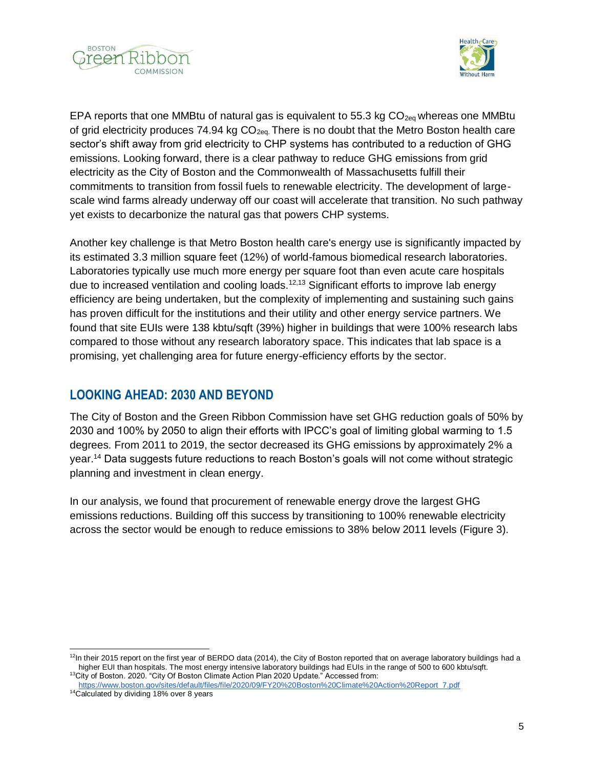



EPA reports that one MMBtu of natural gas is equivalent to 55.3 kg  $CO<sub>2eq</sub>$  whereas one MMBtu of grid electricity produces 74.94 kg  $CO<sub>2ea</sub>$  There is no doubt that the Metro Boston health care sector's shift away from grid electricity to CHP systems has contributed to a reduction of GHG emissions. Looking forward, there is a clear pathway to reduce GHG emissions from grid electricity as the City of Boston and the Commonwealth of Massachusetts fulfill their commitments to transition from fossil fuels to renewable electricity. The development of largescale wind farms already underway off our coast will accelerate that transition. No such pathway yet exists to decarbonize the natural gas that powers CHP systems.

Another key challenge is that Metro Boston health care's energy use is significantly impacted by its estimated 3.3 million square feet (12%) of world-famous biomedical research laboratories. Laboratories typically use much more energy per square foot than even acute care hospitals due to increased ventilation and cooling loads.<sup>12,13</sup> Significant efforts to improve lab energy efficiency are being undertaken, but the complexity of implementing and sustaining such gains has proven difficult for the institutions and their utility and other energy service partners. We found that site EUIs were 138 kbtu/sqft (39%) higher in buildings that were 100% research labs compared to those without any research laboratory space. This indicates that lab space is a promising, yet challenging area for future energy-efficiency efforts by the sector.

## **LOOKING AHEAD: 2030 AND BEYOND**

The City of Boston and the Green Ribbon Commission have set GHG reduction goals of 50% by 2030 and 100% by 2050 to align their efforts with IPCC's goal of limiting global warming to 1.5 degrees. From 2011 to 2019, the sector decreased its GHG emissions by approximately 2% a year.<sup>14</sup> Data suggests future reductions to reach Boston's goals will not come without strategic planning and investment in clean energy.

In our analysis, we found that procurement of renewable energy drove the largest GHG emissions reductions. Building off this success by transitioning to 100% renewable electricity across the sector would be enough to reduce emissions to 38% below 2011 levels (Figure 3).

 $12$ In their 2015 report on the first year of BERDO data (2014), the City of Boston reported that on average laboratory buildings had a higher EUI than hospitals. The most energy intensive laboratory buildings had EUIs in the range of 500 to 600 kbtu/sqft. <sup>13</sup>City of Boston. 2020. "City Of Boston Climate Action Plan 2020 Update." Accessed from:

[https://www.boston.gov/sites/default/files/file/2020/09/FY20%20Boston%20Climate%20Action%20Report\\_7.pdf](https://www.boston.gov/sites/default/files/file/2020/09/FY20%20Boston%20Climate%20Action%20Report_7.pdf) <sup>14</sup>Calculated by dividing 18% over 8 years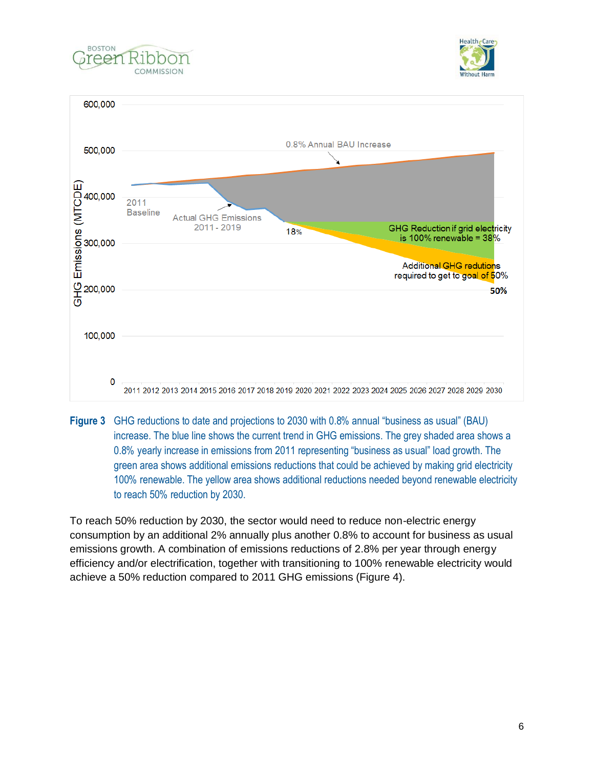





**Figure 3** GHG reductions to date and projections to 2030 with 0.8% annual "business as usual" (BAU) increase. The blue line shows the current trend in GHG emissions. The grey shaded area shows a 0.8% yearly increase in emissions from 2011 representing "business as usual" load growth. The green area shows additional emissions reductions that could be achieved by making grid electricity 100% renewable. The yellow area shows additional reductions needed beyond renewable electricity to reach 50% reduction by 2030.

To reach 50% reduction by 2030, the sector would need to reduce non-electric energy consumption by an additional 2% annually plus another 0.8% to account for business as usual emissions growth. A combination of emissions reductions of 2.8% per year through energy efficiency and/or electrification, together with transitioning to 100% renewable electricity would achieve a 50% reduction compared to 2011 GHG emissions (Figure 4).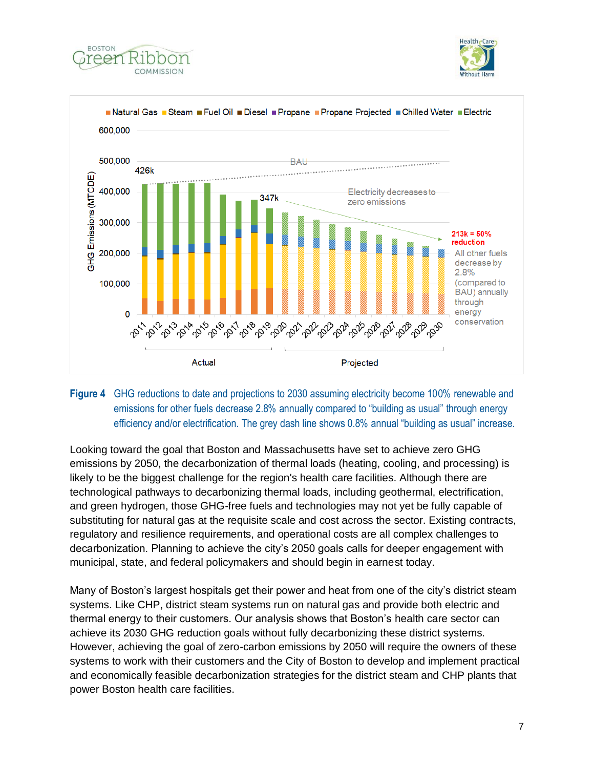





## **Figure 4** GHG reductions to date and projections to 2030 assuming electricity become 100% renewable and emissions for other fuels decrease 2.8% annually compared to "building as usual" through energy efficiency and/or electrification. The grey dash line shows 0.8% annual "building as usual" increase.

Looking toward the goal that Boston and Massachusetts have set to achieve zero GHG emissions by 2050, the decarbonization of thermal loads (heating, cooling, and processing) is likely to be the biggest challenge for the region's health care facilities. Although there are technological pathways to decarbonizing thermal loads, including geothermal, electrification, and green hydrogen, those GHG-free fuels and technologies may not yet be fully capable of substituting for natural gas at the requisite scale and cost across the sector. Existing contracts, regulatory and resilience requirements, and operational costs are all complex challenges to decarbonization. Planning to achieve the city's 2050 goals calls for deeper engagement with municipal, state, and federal policymakers and should begin in earnest today.

Many of Boston's largest hospitals get their power and heat from one of the city's district steam systems. Like CHP, district steam systems run on natural gas and provide both electric and thermal energy to their customers. Our analysis shows that Boston's health care sector can achieve its 2030 GHG reduction goals without fully decarbonizing these district systems. However, achieving the goal of zero-carbon emissions by 2050 will require the owners of these systems to work with their customers and the City of Boston to develop and implement practical and economically feasible decarbonization strategies for the district steam and CHP plants that power Boston health care facilities.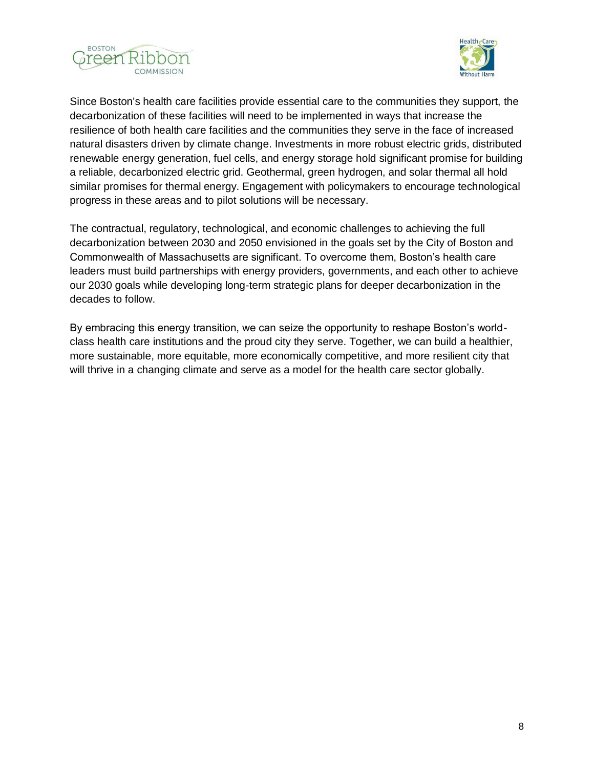



Since Boston's health care facilities provide essential care to the communities they support, the decarbonization of these facilities will need to be implemented in ways that increase the resilience of both health care facilities and the communities they serve in the face of increased natural disasters driven by climate change. Investments in more robust electric grids, distributed renewable energy generation, fuel cells, and energy storage hold significant promise for building a reliable, decarbonized electric grid. Geothermal, green hydrogen, and solar thermal all hold similar promises for thermal energy. Engagement with policymakers to encourage technological progress in these areas and to pilot solutions will be necessary.

The contractual, regulatory, technological, and economic challenges to achieving the full decarbonization between 2030 and 2050 envisioned in the goals set by the City of Boston and Commonwealth of Massachusetts are significant. To overcome them, Boston's health care leaders must build partnerships with energy providers, governments, and each other to achieve our 2030 goals while developing long-term strategic plans for deeper decarbonization in the decades to follow.

By embracing this energy transition, we can seize the opportunity to reshape Boston's worldclass health care institutions and the proud city they serve. Together, we can build a healthier, more sustainable, more equitable, more economically competitive, and more resilient city that will thrive in a changing climate and serve as a model for the health care sector globally.